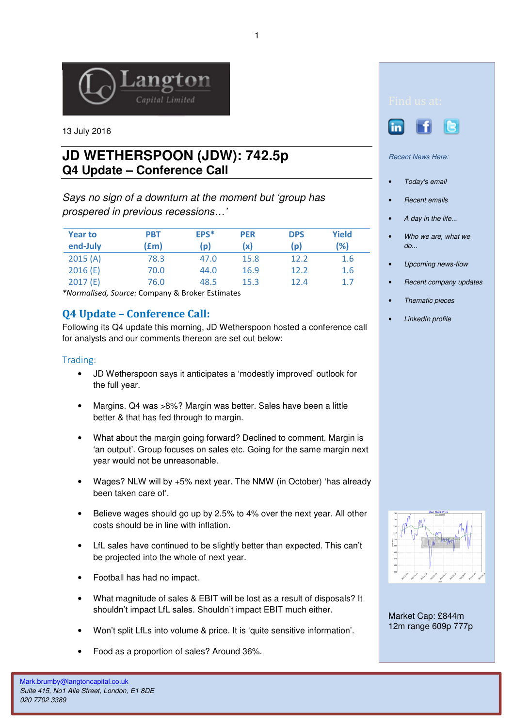

13 July 2016

# **JD WETHERSPOON (JDW): 742.5p Q4 Update – Conference Call**

Says no sign of a downturn at the moment but 'group has prospered in previous recessions…'

| <b>Year to</b><br>end-July | <b>PBT</b><br>(£m) | EPS*<br>(p) | <b>PER</b><br>(x) | <b>DPS</b><br>(p) | Yield<br>(%) |
|----------------------------|--------------------|-------------|-------------------|-------------------|--------------|
| 2015(A)                    | 78.3               | 47.0        | 15.8              | 12.2              | 1.6          |
| 2016(E)                    | 70.0               | 44.0        | 16.9              | 12.2              | 1.6          |
| 2017(E)                    | 76.0               | 48.5        | 15.3              | 12.4              | 1.7          |

\*Normalised, Source: Company & Broker Estimates

## Q4 Update – Conference Call:

Following its Q4 update this morning, JD Wetherspoon hosted a conference call for analysts and our comments thereon are set out below:

### Trading:

- JD Wetherspoon says it anticipates a 'modestly improved' outlook for the full year.
- Margins. Q4 was >8%? Margin was better. Sales have been a little better & that has fed through to margin.
- What about the margin going forward? Declined to comment. Margin is 'an output'. Group focuses on sales etc. Going for the same margin next year would not be unreasonable.
- Wages? NLW will by +5% next year. The NMW (in October) 'has already been taken care of'.
- Believe wages should go up by 2.5% to 4% over the next year. All other costs should be in line with inflation.
- LfL sales have continued to be slightly better than expected. This can't be projected into the whole of next year.
- Football has had no impact.
- What magnitude of sales & EBIT will be lost as a result of disposals? It shouldn't impact LfL sales. Shouldn't impact EBIT much either.
- Won't split LfLs into volume & price. It is 'quite sensitive information'.
- Food as a proportion of sales? Around 36%.





Recent News Here:

- Today's email
- Recent emails
- A day in the life...
- Who we are, what we do...
- Upcoming news-flow
- Recent company updates
- Thematic pieces
- LinkedIn profile



Market Cap: £844m 12m range 609p 777p